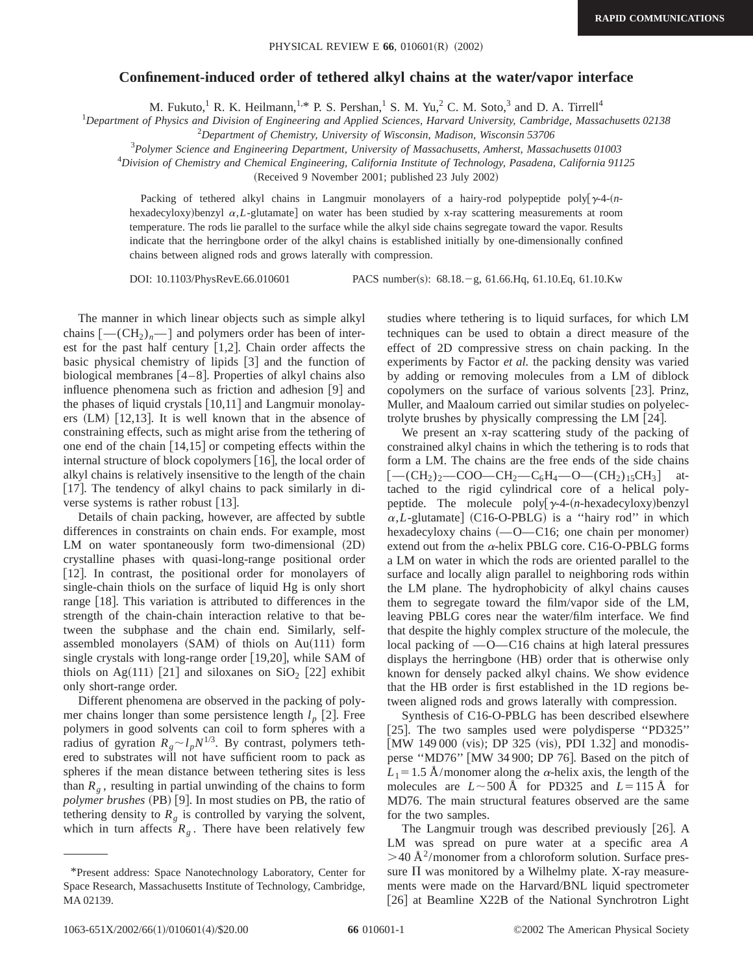## **Confinement-induced order of tethered alkyl chains at the water/vapor interface**

M. Fukuto,<sup>1</sup> R. K. Heilmann,<sup>1,\*</sup> P. S. Pershan,<sup>1</sup> S. M. Yu,<sup>2</sup> C. M. Soto,<sup>3</sup> and D. A. Tirrell<sup>4</sup>

1 *Department of Physics and Division of Engineering and Applied Sciences, Harvard University, Cambridge, Massachusetts 02138*

2 *Department of Chemistry, University of Wisconsin, Madison, Wisconsin 53706*

3 *Polymer Science and Engineering Department, University of Massachusetts, Amherst, Massachusetts 01003*

4 *Division of Chemistry and Chemical Engineering, California Institute of Technology, Pasadena, California 91125*

(Received 9 November 2001; published 23 July 2002)

Packing of tethered alkyl chains in Langmuir monolayers of a hairy-rod polypeptide poly $\left[\gamma^2 + (n-1)\right]$ hexadecyloxy)benzyl  $\alpha$ , L-glutamate on water has been studied by x-ray scattering measurements at room temperature. The rods lie parallel to the surface while the alkyl side chains segregate toward the vapor. Results indicate that the herringbone order of the alkyl chains is established initially by one-dimensionally confined chains between aligned rods and grows laterally with compression.

DOI: 10.1103/PhysRevE.66.010601 PACS number(s): 68.18. - g, 61.66.Hq, 61.10.Eq, 61.10.Kw

The manner in which linear objects such as simple alkyl chains  $[-(CH_2)<sub>n</sub>-]$  and polymers order has been of interest for the past half century  $[1,2]$ . Chain order affects the basic physical chemistry of lipids  $\lceil 3 \rceil$  and the function of biological membranes  $[4-8]$ . Properties of alkyl chains also influence phenomena such as friction and adhesion  $[9]$  and the phases of liquid crystals  $[10,11]$  and Langmuir monolayers  $(LM)$  [12,13]. It is well known that in the absence of constraining effects, such as might arise from the tethering of one end of the chain  $[14,15]$  or competing effects within the internal structure of block copolymers  $[16]$ , the local order of alkyl chains is relatively insensitive to the length of the chain [17]. The tendency of alkyl chains to pack similarly in diverse systems is rather robust  $[13]$ .

Details of chain packing, however, are affected by subtle differences in constraints on chain ends. For example, most LM on water spontaneously form two-dimensional  $(2D)$ crystalline phases with quasi-long-range positional order [12]. In contrast, the positional order for monolayers of single-chain thiols on the surface of liquid Hg is only short range  $[18]$ . This variation is attributed to differences in the strength of the chain-chain interaction relative to that between the subphase and the chain end. Similarly, selfassembled monolayers  $(SAM)$  of thiols on Au $(111)$  form single crystals with long-range order  $[19,20]$ , while SAM of thiols on Ag $(111)$  [21] and siloxanes on SiO<sub>2</sub> [22] exhibit only short-range order.

Different phenomena are observed in the packing of polymer chains longer than some persistence length  $l_p$  [2]. Free polymers in good solvents can coil to form spheres with a radius of gyration  $R_g \sim l_p N^{1/3}$ . By contrast, polymers tethered to substrates will not have sufficient room to pack as spheres if the mean distance between tethering sites is less than  $R_g$ , resulting in partial unwinding of the chains to form *polymer brushes* (PB) [9]. In most studies on PB, the ratio of tethering density to  $R_{g}$  is controlled by varying the solvent, which in turn affects  $R<sub>g</sub>$ . There have been relatively few studies where tethering is to liquid surfaces, for which LM techniques can be used to obtain a direct measure of the effect of 2D compressive stress on chain packing. In the experiments by Factor *et al.* the packing density was varied by adding or removing molecules from a LM of diblock copolymers on the surface of various solvents  $[23]$ . Prinz, Muller, and Maaloum carried out similar studies on polyelectrolyte brushes by physically compressing the LM  $[24]$ .

We present an x-ray scattering study of the packing of constrained alkyl chains in which the tethering is to rods that form a LM. The chains are the free ends of the side chains  $[-(CH_2)<sub>2</sub>-COO-CH_2-C_6H_4-O-(CH_2)<sub>15</sub>CH_3]$  attached to the rigid cylindrical core of a helical polypeptide. The molecule poly $[\gamma-4-(n-\text{hexadecyloxy})\text{benzy}]$  $\alpha$ ,*L*-glutamate] (C16-O-PBLG) is a "hairy rod" in which hexadecyloxy chains  $(-O - C16)$ ; one chain per monomer) extend out from the  $\alpha$ -helix PBLG core. C16-O-PBLG forms a LM on water in which the rods are oriented parallel to the surface and locally align parallel to neighboring rods within the LM plane. The hydrophobicity of alkyl chains causes them to segregate toward the film/vapor side of the LM, leaving PBLG cores near the water/film interface. We find that despite the highly complex structure of the molecule, the local packing of  $-$ O $-$ C16 chains at high lateral pressures displays the herringbone (HB) order that is otherwise only known for densely packed alkyl chains. We show evidence that the HB order is first established in the 1D regions between aligned rods and grows laterally with compression.

Synthesis of C16-O-PBLG has been described elsewhere [25]. The two samples used were polydisperse "PD325"  $[MW 149 000 (vis); DP 325 (vis), PDI 1.32]$  and monodisperse "MD76" [MW 34 900; DP 76]. Based on the pitch of  $L_1$ =1.5 Å/monomer along the  $\alpha$ -helix axis, the length of the molecules are  $L \sim 500 \text{ Å}$  for PD325 and  $L=115 \text{ Å}$  for MD76. The main structural features observed are the same for the two samples.

The Langmuir trough was described previously [26]. A LM was spread on pure water at a specific area *A*  $>40$  Å<sup>2</sup>/monomer from a chloroform solution. Surface pressure  $\Pi$  was monitored by a Wilhelmy plate. X-ray measurements were made on the Harvard/BNL liquid spectrometer [26] at Beamline X22B of the National Synchrotron Light

<sup>\*</sup>Present address: Space Nanotechnology Laboratory, Center for Space Research, Massachusetts Institute of Technology, Cambridge, MA 02139.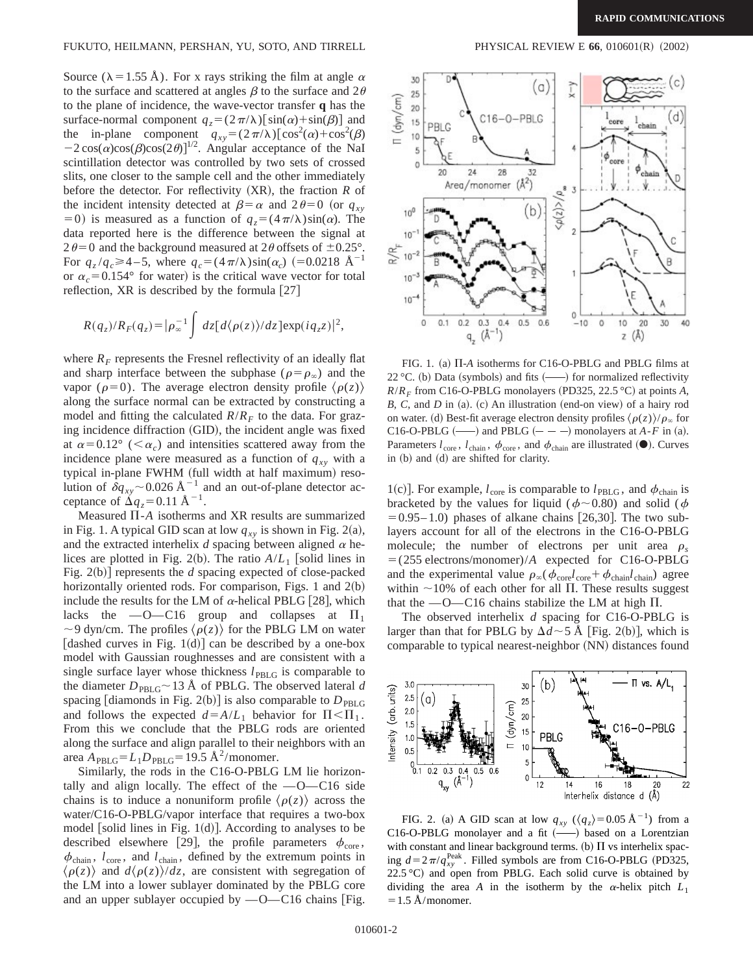Source ( $\lambda = 1.55$  Å). For x rays striking the film at angle  $\alpha$ to the surface and scattered at angles  $\beta$  to the surface and  $2\theta$ to the plane of incidence, the wave-vector transfer **q** has the surface-normal component  $q_z = (2\pi/\lambda)[\sin(\alpha) + \sin(\beta)]$  and the in-plane component  $q_{xy} = (2 \pi/\lambda) [\cos^2(\alpha) + \cos^2(\beta)]$  $-2\cos(\alpha)\cos(\beta)\cos(2\theta)]^{1/2}$ . Angular acceptance of the NaI scintillation detector was controlled by two sets of crossed slits, one closer to the sample cell and the other immediately before the detector. For reflectivity  $(XR)$ , the fraction  $R$  of the incident intensity detected at  $\beta = \alpha$  and  $2\theta = 0$  (or  $q_{xy}$ ) =0) is measured as a function of  $q_z = (4\pi/\lambda)\sin(\alpha)$ . The data reported here is the difference between the signal at  $2\theta$  = 0 and the background measured at 2 $\theta$  offsets of  $\pm$ 0.25°. For  $q_z/q_c \ge 4-5$ , where  $q_c = (4\pi/\lambda)\sin(\alpha_c)$  (=0.0218 Å<sup>-1</sup> or  $\alpha_c$ =0.154° for water) is the critical wave vector for total reflection, XR is described by the formula  $[27]$ 

$$
R(q_z)/R_F(q_z) = |\rho_{\infty}^{-1} \int dz [d\langle \rho(z) \rangle / dz] \exp(i q_z z)|^2,
$$

where  $R_F$  represents the Fresnel reflectivity of an ideally flat and sharp interface between the subphase ( $\rho = \rho_{\infty}$ ) and the vapor ( $\rho=0$ ). The average electron density profile  $\langle \rho(z) \rangle$ along the surface normal can be extracted by constructing a model and fitting the calculated  $R/R_F$  to the data. For grazing incidence diffraction (GID), the incident angle was fixed at  $\alpha=0.12^{\circ}$  ( $\langle \alpha_{c} \rangle$ ) and intensities scattered away from the incidence plane were measured as a function of  $q_{xy}$  with a typical in-plane FWHM (full width at half maximum) resolution of  $\dot{\delta}q_{xy}$  ~ 0.026 Å<sup>-1</sup> and an out-of-plane detector acceptance of  $\Delta q_z = 0.11 \text{ Å}^{-1}$ .

Measured  $\Pi$ -*A* isotherms and XR results are summarized in Fig. 1. A typical GID scan at low  $q_{xy}$  is shown in Fig. 2(a), and the extracted interhelix  $d$  spacing between aligned  $\alpha$  helices are plotted in Fig. 2(b). The ratio  $A/L_1$  [solid lines in Fig.  $2(b)$  represents the *d* spacing expected of close-packed horizontally oriented rods. For comparison, Figs. 1 and  $2(b)$ include the results for the LM of  $\alpha$ -helical PBLG [28], which lacks the  $-O-C16$  group and collapses at  $\Pi_1$  $\sim$ 9 dyn/cm. The profiles  $\langle \rho(z) \rangle$  for the PBLG LM on water [dashed curves in Fig. 1(d)] can be described by a one-box model with Gaussian roughnesses and are consistent with a single surface layer whose thickness  $l_{\text{PBLG}}$  is comparable to the diameter  $D_{\text{PBLG}} \sim 13 \text{ Å}$  of PBLG. The observed lateral *d* spacing [diamonds in Fig. 2(b)] is also comparable to  $D_{\text{PBLG}}$ and follows the expected  $d = A/L_1$  behavior for  $\Pi < \Pi_1$ . From this we conclude that the PBLG rods are oriented along the surface and align parallel to their neighbors with an area  $A_{\text{PBLG}}=L_1D_{\text{PBLG}}=19.5 \text{ Å}^2/\text{monomer.}$ 

Similarly, the rods in the C16-O-PBLG LM lie horizontally and align locally. The effect of the  $-O-C16$  side chains is to induce a nonuniform profile  $\langle \rho(z) \rangle$  across the water/C16-O-PBLG/vapor interface that requires a two-box model [solid lines in Fig.  $1(d)$ ]. According to analyses to be described elsewhere [29], the profile parameters  $\phi_{\text{core}}$ ,  $\phi_{chain}$ ,  $l_{core}$ , and  $l_{chain}$ , defined by the extremum points in  $\langle \rho(z) \rangle$  and  $d\langle \rho(z) \rangle/dz$ , are consistent with segregation of the LM into a lower sublayer dominated by the PBLG core and an upper sublayer occupied by  $-0$ -C16 chains [Fig.



FIG. 1. (a)  $\Pi$ -*A* isotherms for C16-O-PBLG and PBLG films at 22 °C. (b) Data (symbols) and fits  $(\_\_\)$  for normalized reflectivity  $R/R_F$  from C16-O-PBLG monolayers (PD325, 22.5 °C) at points *A*,  $B, C$ , and  $D$  in (a). (c) An illustration (end-on view) of a hairy rod on water. (d) Best-fit average electron density profiles  $\langle \rho(z) \rangle / \rho_{\infty}$  for C16-O-PBLG  $(\underline{\hspace{1cm}})$  and PBLG  $(- - )$  monolayers at *A*-*F* in (a). Parameters  $l_{\text{core}}$ ,  $l_{\text{chain}}$ ,  $\phi_{\text{core}}$ , and  $\phi_{\text{chain}}$  are illustrated ( $\bullet$ ). Curves in (b) and (d) are shifted for clarity.

1(c)]. For example,  $l_{\text{core}}$  is comparable to  $l_{\text{PBLG}}$ , and  $\phi_{\text{chain}}$  is bracketed by the values for liquid ( $\phi$ ~0.80) and solid ( $\phi$  $= 0.95 - 1.0$ ) phases of alkane chains [26,30]. The two sublayers account for all of the electrons in the C16-O-PBLG molecule; the number of electrons per unit area  $\rho_s$  $=$  (255 electrons/monomer)/*A* expected for C16-O-PBLG and the experimental value  $\rho_{\infty}(\phi_{\text{core}}l_{\text{core}}+\phi_{\text{chain}}l_{\text{chain}})$  agree within  $\sim$ 10% of each other for all  $\Pi$ . These results suggest that the  $-$ O $-$ C16 chains stabilize the LM at high  $\Pi$ .

The observed interhelix *d* spacing for C16-O-PBLG is larger than that for PBLG by  $\Delta d \sim 5$  Å [Fig. 2(b)], which is comparable to typical nearest-neighbor (NN) distances found



FIG. 2. (a) A GID scan at low  $q_{xy}$  ( $\langle q_z \rangle$ =0.05 Å<sup>-1</sup>) from a C16-O-PBLG monolayer and a fit  $(-)$  based on a Lorentzian with constant and linear background terms. (b)  $\Pi$  vs interhelix spacing  $d=2\pi/q_{xy}^{\text{Peak}}$ . Filled symbols are from C16-O-PBLG (PD325, 22.5 °C) and open from PBLG. Each solid curve is obtained by dividing the area *A* in the isotherm by the  $\alpha$ -helix pitch  $L_1$  $=1.5$  Å/monomer.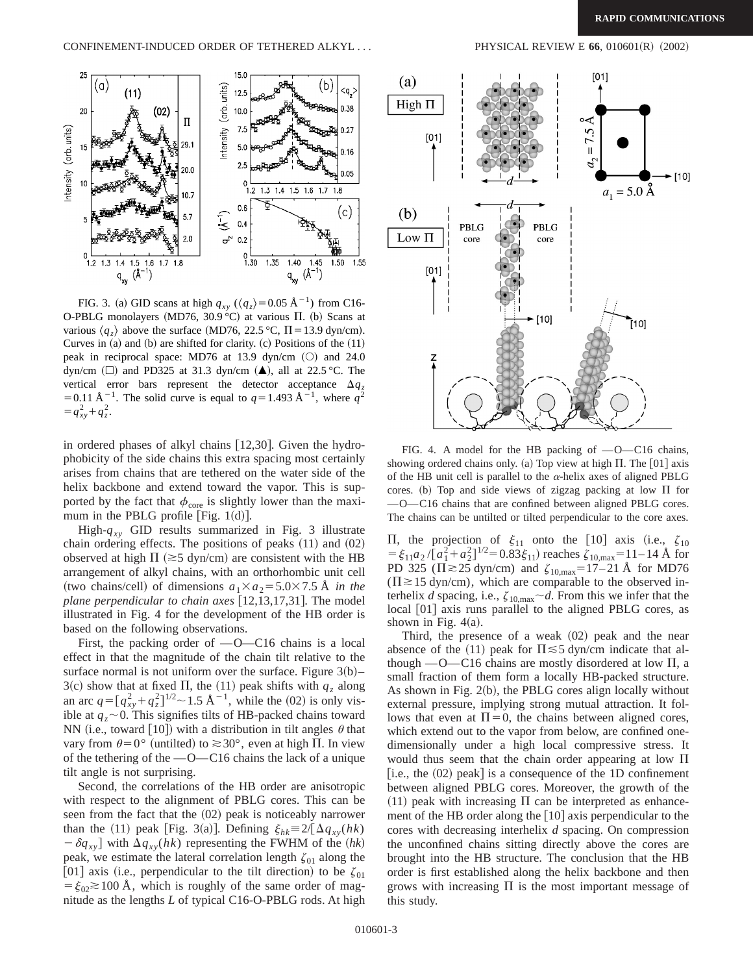

FIG. 3. (a) GID scans at high  $q_{xy}$  ( $\langle q_z \rangle$ =0.05 Å<sup>-1</sup>) from C16-O-PBLG monolayers (MD76, 30.9 °C) at various  $\Pi$ . (b) Scans at various  $\langle q_z \rangle$  above the surface (MD76, 22.5 °C,  $\Pi$  = 13.9 dyn/cm). Curves in  $(a)$  and  $(b)$  are shifted for clarity.  $(c)$  Positions of the  $(11)$ peak in reciprocal space: MD76 at 13.9 dyn/cm  $(O)$  and 24.0 dyn/cm  $(\Box)$  and PD325 at 31.3 dyn/cm  $(\triangle)$ , all at 22.5 °C. The vertical error bars represent the detector acceptance  $\Delta q_z$ = 0.11 Å<sup>-1</sup>. The solid curve is equal to  $q=1.493 \text{ Å}^{-1}$ , where  $q^2$  $=q_{xy}^2+q_z^2$ .

in ordered phases of alkyl chains  $[12,30]$ . Given the hydrophobicity of the side chains this extra spacing most certainly arises from chains that are tethered on the water side of the helix backbone and extend toward the vapor. This is supported by the fact that  $\phi_{\text{core}}$  is slightly lower than the maximum in the PBLG profile [Fig.  $1(d)$ ].

High- $q_{xy}$  GID results summarized in Fig. 3 illustrate chain ordering effects. The positions of peaks  $(11)$  and  $(02)$ observed at high  $\Pi$  ( $\gtrsim$ 5 dyn/cm) are consistent with the HB arrangement of alkyl chains, with an orthorhombic unit cell (two chains/cell) of dimensions  $a_1 \times a_2 = 5.0 \times 7.5$  Å *in the plane perpendicular to chain axes* [12,13,17,31]. The model illustrated in Fig. 4 for the development of the HB order is based on the following observations.

First, the packing order of  $-$ O $-$ C16 chains is a local effect in that the magnitude of the chain tilt relative to the surface normal is not uniform over the surface. Figure  $3(b)$ – 3(c) show that at fixed  $\Pi$ , the (11) peak shifts with  $q_z$  along an arc  $q = [q_{xy}^2 + q_z^2]^{1/2} \sim 1.5 \text{ Å}^{-1}$ , while the (02) is only visible at  $q_z \sim 0$ . This signifies tilts of HB-packed chains toward NN (i.e., toward [10]) with a distribution in tilt angles  $\theta$  that vary from  $\theta = 0^{\circ}$  (untilted) to  $\approx 30^{\circ}$ , even at high  $\Pi$ . In view of the tethering of the  $-$ O $-$ C16 chains the lack of a unique tilt angle is not surprising.

Second, the correlations of the HB order are anisotropic with respect to the alignment of PBLG cores. This can be seen from the fact that the  $(02)$  peak is noticeably narrower than the (11) peak [Fig. 3(a)]. Defining  $\xi_{hk} \equiv 2/[\Delta q_{xy}(hk)]$  $-\delta q_{xy}$  with  $\Delta q_{xy}(hk)$  representing the FWHM of the  $(hk)$ peak, we estimate the lateral correlation length  $\zeta_{01}$  along the [01] axis (i.e., perpendicular to the tilt direction) to be  $\zeta_{01}$  $= \xi_{02} \gtrsim 100$  Å, which is roughly of the same order of magnitude as the lengths *L* of typical C16-O-PBLG rods. At high



FIG. 4. A model for the HB packing of  $-0$ -C16 chains, showing ordered chains only. (a) Top view at high  $\Pi$ . The [01] axis of the HB unit cell is parallel to the  $\alpha$ -helix axes of aligned PBLG cores. (b) Top and side views of zigzag packing at low  $\Pi$  for  $-$ O $-$ C16 chains that are confined between aligned PBLG cores. The chains can be untilted or tilted perpendicular to the core axes.

II, the projection of  $\xi_{11}$  onto the [10] axis (i.e.,  $\zeta_{10}$  $= \xi_{11}a_2/[\hat{a}_1^2 + \hat{a}_2^2]^{1/2} = 0.83\xi_{11}$  reaches  $\zeta_{10, \text{max}} = 11 - 14$  Å for PD 325 ( $\Pi \gtrsim 25$  dyn/cm) and  $\zeta_{10,max} = 17-21$  Å for MD76  $(\Pi \ge 15 \text{ dyn/cm})$ , which are comparable to the observed interhelix *d* spacing, i.e.,  $\zeta_{10,\text{max}}$   $\sim$  *d*. From this we infer that the local [01] axis runs parallel to the aligned PBLG cores, as shown in Fig.  $4(a)$ .

Third, the presence of a weak  $(02)$  peak and the near absence of the (11) peak for  $\Pi \leq 5$  dyn/cm indicate that although  $-$ O $-$ C16 chains are mostly disordered at low  $\Pi$ , a small fraction of them form a locally HB-packed structure. As shown in Fig.  $2(b)$ , the PBLG cores align locally without external pressure, implying strong mutual attraction. It follows that even at  $\Pi=0$ , the chains between aligned cores, which extend out to the vapor from below, are confined onedimensionally under a high local compressive stress. It would thus seem that the chain order appearing at low  $\Pi$  $[i.e., the (02) peak]$  is a consequence of the 1D confinement between aligned PBLG cores. Moreover, the growth of the  $(11)$  peak with increasing  $\Pi$  can be interpreted as enhancement of the HB order along the  $[10]$  axis perpendicular to the cores with decreasing interhelix *d* spacing. On compression the unconfined chains sitting directly above the cores are brought into the HB structure. The conclusion that the HB order is first established along the helix backbone and then grows with increasing  $\Pi$  is the most important message of this study.